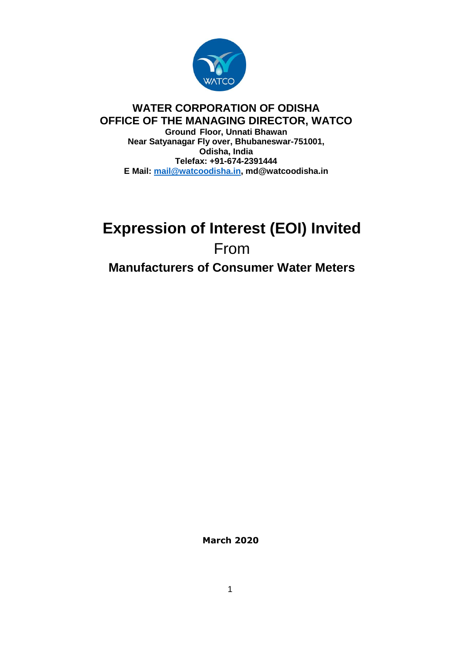

## **WATER CORPORATION OF ODISHA OFFICE OF THE MANAGING DIRECTOR, WATCO Ground Floor, Unnati Bhawan Near Satyanagar Fly over, Bhubaneswar-751001, Odisha, India Telefax: +91-674-2391444 E Mail: [mail@watcoodisha.in,](mailto:mail@watcoodisha.in) md@watcoodisha.in**

# **Expression of Interest (EOI) Invited**  From **Manufacturers of Consumer Water Meters**

**March 2020**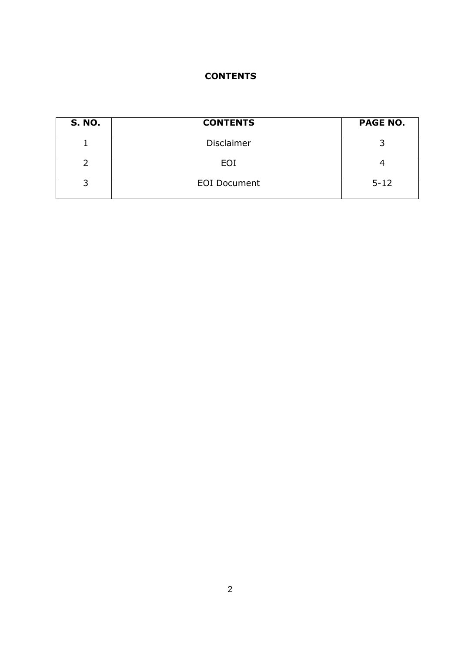# **CONTENTS**

| <b>S. NO.</b> | <b>CONTENTS</b>     | <b>PAGE NO.</b> |
|---------------|---------------------|-----------------|
|               | <b>Disclaimer</b>   |                 |
|               | EOI                 |                 |
|               | <b>EOI</b> Document | $5 - 12$        |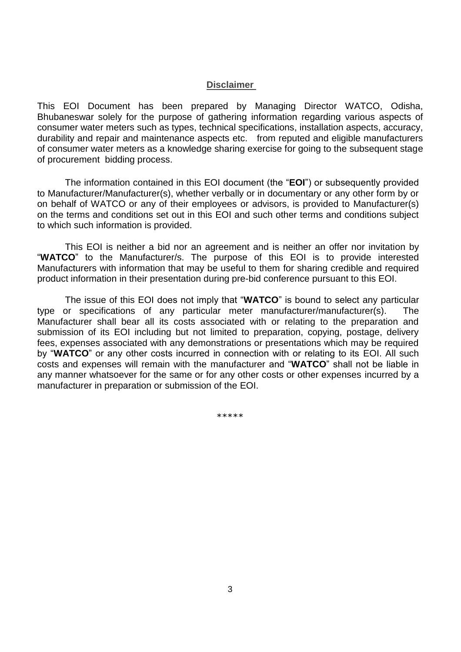#### **Disclaimer**

This EOI Document has been prepared by Managing Director WATCO, Odisha, Bhubaneswar solely for the purpose of gathering information regarding various aspects of consumer water meters such as types, technical specifications, installation aspects, accuracy, durability and repair and maintenance aspects etc. from reputed and eligible manufacturers of consumer water meters as a knowledge sharing exercise for going to the subsequent stage of procurement bidding process.

The information contained in this EOI document (the "**EOI**") or subsequently provided to Manufacturer/Manufacturer(s), whether verbally or in documentary or any other form by or on behalf of WATCO or any of their employees or advisors, is provided to Manufacturer(s) on the terms and conditions set out in this EOI and such other terms and conditions subject to which such information is provided.

This EOI is neither a bid nor an agreement and is neither an offer nor invitation by "**WATCO**" to the Manufacturer/s. The purpose of this EOI is to provide interested Manufacturers with information that may be useful to them for sharing credible and required product information in their presentation during pre-bid conference pursuant to this EOI.

The issue of this EOI does not imply that "**WATCO**" is bound to select any particular type or specifications of any particular meter manufacturer/manufacturer(s). The Manufacturer shall bear all its costs associated with or relating to the preparation and submission of its EOI including but not limited to preparation, copying, postage, delivery fees, expenses associated with any demonstrations or presentations which may be required by "**WATCO**" or any other costs incurred in connection with or relating to its EOI. All such costs and expenses will remain with the manufacturer and "**WATCO**" shall not be liable in any manner whatsoever for the same or for any other costs or other expenses incurred by a manufacturer in preparation or submission of the EOI.

\*\*\*\*\*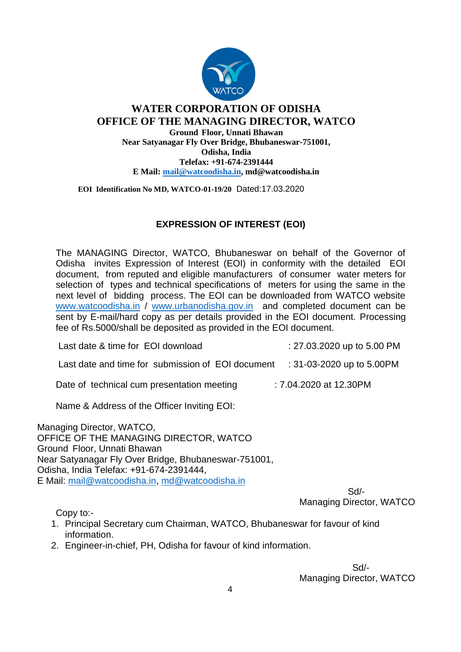

## **WATER CORPORATION OF ODISHA OFFICE OF THE MANAGING DIRECTOR, WATCO Ground Floor, Unnati Bhawan Near Satyanagar Fly Over Bridge, Bhubaneswar-751001, Odisha, India Telefax: +91-674-2391444 E Mail: [mail@watcoodisha.in,](mailto:mail@watcoodisha.in) md@watcoodisha.in**

 **EOI Identification No MD, WATCO-01-19/20** Dated:17.03.2020

# **EXPRESSION OF INTEREST (EOI)**

The MANAGING Director, WATCO, Bhubaneswar on behalf of the Governor of Odisha invites Expression of Interest (EOI) in conformity with the detailed EOI document, from reputed and eligible manufacturers of consumer water meters for selection of types and technical specifications of meters for using the same in the next level of bidding process. The EOI can be downloaded from WATCO website [www.watcoodisha.in](http://www.watcoodisha.in/) / [www.urbanodisha.gov.in](http://www.urbanodisha.gov.in/) and completed document can be sent by E-mail/hard copy as per details provided in the EOI document. Processing fee of Rs.5000/shall be deposited as provided in the EOI document.

Last date & time for EOI download : 27.03.2020 up to 5.00 PM

Last date and time for submission of EOI document : 31-03-2020 up to 5.00PM

Date of technical cum presentation meeting : 7.04.2020 at 12.30PM

Name & Address of the Officer Inviting EOI:

Managing Director, WATCO, OFFICE OF THE MANAGING DIRECTOR, WATCO Ground Floor, Unnati Bhawan Near Satyanagar Fly Over Bridge, Bhubaneswar-751001, Odisha, India Telefax: +91-674-2391444, E Mail: [mail@watcoodisha.in,](mailto:mail@watcoodisha.in) [md@watcoodisha.in](mailto:md@watcoodisha.in)

 Sd/- Managing Director, WATCO

Copy to:-

- 1. Principal Secretary cum Chairman, WATCO, Bhubaneswar for favour of kind information.
- 2. Engineer-in-chief, PH, Odisha for favour of kind information.

 Sd/- Managing Director, WATCO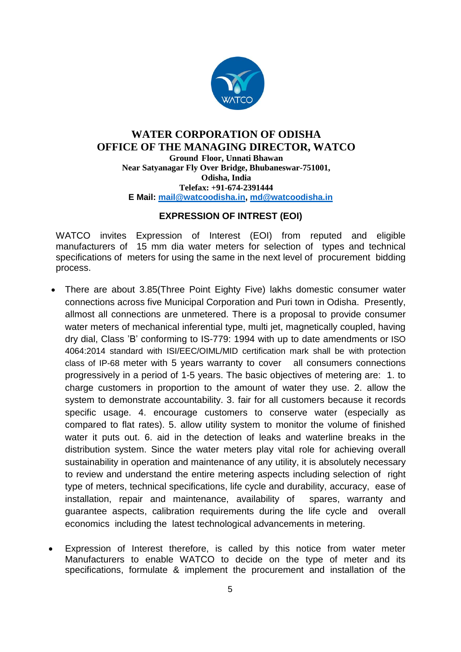

## **WATER CORPORATION OF ODISHA OFFICE OF THE MANAGING DIRECTOR, WATCO Ground Floor, Unnati Bhawan Near Satyanagar Fly Over Bridge, Bhubaneswar-751001, Odisha, India Telefax: +91-674-2391444**

**E Mail: [mail@watcoodisha.in,](mailto:mail@watcoodisha.in) [md@watcoodisha.in](mailto:md@watcoodisha.in)**

# **EXPRESSION OF INTREST (EOI)**

WATCO invites Expression of Interest (EOI) from reputed and eligible manufacturers of 15 mm dia water meters for selection of types and technical specifications of meters for using the same in the next level of procurement bidding process.

- There are about 3.85(Three Point Eighty Five) lakhs domestic consumer water connections across five Municipal Corporation and Puri town in Odisha. Presently, allmost all connections are unmetered. There is a proposal to provide consumer water meters of mechanical inferential type, multi jet, magnetically coupled, having dry dial, Class 'B' conforming to IS-779: 1994 with up to date amendments or ISO 4064:2014 standard with ISI/EEC/OIML/MID certification mark shall be with protection class of IP-68 meter with 5 years warranty to cover all consumers connections progressively in a period of 1-5 years. The basic objectives of metering are: 1. to charge customers in proportion to the amount of water they use. 2. allow the system to demonstrate accountability. 3. fair for all customers because it records specific usage. 4. encourage customers to conserve water (especially as compared to flat rates). 5. allow utility system to monitor the volume of finished water it puts out. 6. aid in the detection of leaks and waterline breaks in the distribution system. Since the water meters play vital role for achieving overall sustainability in operation and maintenance of any utility, it is absolutely necessary to review and understand the entire metering aspects including selection of right type of meters, technical specifications, life cycle and durability, accuracy, ease of installation, repair and maintenance, availability of spares, warranty and guarantee aspects, calibration requirements during the life cycle and overall economics including the latest technological advancements in metering.
- Expression of Interest therefore, is called by this notice from water meter Manufacturers to enable WATCO to decide on the type of meter and its specifications, formulate & implement the procurement and installation of the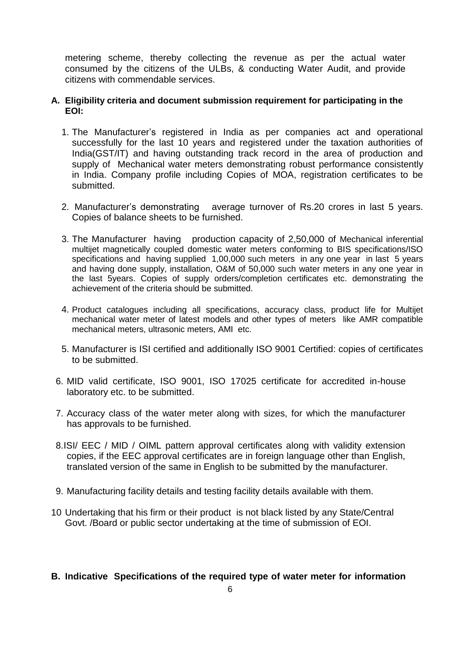metering scheme, thereby collecting the revenue as per the actual water consumed by the citizens of the ULBs, & conducting Water Audit, and provide citizens with commendable services.

#### **A. Eligibility criteria and document submission requirement for participating in the EOI:**

- 1. The Manufacturer's registered in India as per companies act and operational successfully for the last 10 years and registered under the taxation authorities of India(GST/IT) and having outstanding track record in the area of production and supply of Mechanical water meters demonstrating robust performance consistently in India. Company profile including Copies of MOA, registration certificates to be submitted.
- 2. Manufacturer's demonstrating average turnover of Rs.20 crores in last 5 years. Copies of balance sheets to be furnished.
- 3. The Manufacturer having production capacity of 2,50,000 of Mechanical inferential multijet magnetically coupled domestic water meters conforming to BIS specifications/ISO specifications and having supplied 1,00,000 such meters in any one year in last 5 years and having done supply, installation, O&M of 50,000 such water meters in any one year in the last 5years. Copies of supply orders/completion certificates etc. demonstrating the achievement of the criteria should be submitted.
- 4. Product catalogues including all specifications, accuracy class, product life for Multijet mechanical water meter of latest models and other types of meters like AMR compatible mechanical meters, ultrasonic meters, AMI etc.
- 5. Manufacturer is ISI certified and additionally ISO 9001 Certified: copies of certificates to be submitted.
- 6. MID valid certificate, ISO 9001, ISO 17025 certificate for accredited in-house laboratory etc. to be submitted.
- 7. Accuracy class of the water meter along with sizes, for which the manufacturer has approvals to be furnished.
- 8.ISI/ EEC / MID / OIML pattern approval certificates along with validity extension copies, if the EEC approval certificates are in foreign language other than English, translated version of the same in English to be submitted by the manufacturer.
- 9. Manufacturing facility details and testing facility details available with them.
- 10 Undertaking that his firm or their product is not black listed by any State/Central Govt. /Board or public sector undertaking at the time of submission of EOI.

## **B. Indicative Specifications of the required type of water meter for information**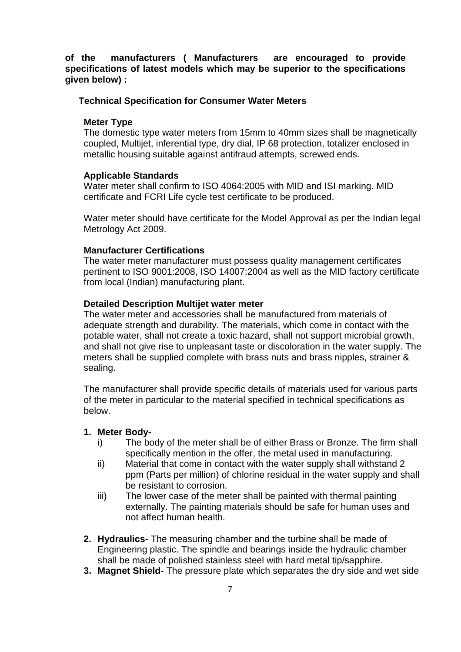## **of the manufacturers ( Manufacturers are encouraged to provide specifications of latest models which may be superior to the specifications given below) :**

#### **Technical Specification for Consumer Water Meters**

#### **Meter Type**

The domestic type water meters from 15mm to 40mm sizes shall be magnetically coupled, Multijet, inferential type, dry dial, IP 68 protection, totalizer enclosed in metallic housing suitable against antifraud attempts, screwed ends.

#### **Applicable Standards**

Water meter shall confirm to ISO 4064:2005 with MID and ISI marking. MID certificate and FCRI Life cycle test certificate to be produced.

Water meter should have certificate for the Model Approval as per the Indian legal Metrology Act 2009.

#### **Manufacturer Certifications**

The water meter manufacturer must possess quality management certificates pertinent to ISO 9001:2008, ISO 14007:2004 as well as the MID factory certificate from local (Indian) manufacturing plant.

#### **Detailed Description Multijet water meter**

The water meter and accessories shall be manufactured from materials of adequate strength and durability. The materials, which come in contact with the potable water, shall not create a toxic hazard, shall not support microbial growth, and shall not give rise to unpleasant taste or discoloration in the water supply. The meters shall be supplied complete with brass nuts and brass nipples, strainer & sealing.

The manufacturer shall provide specific details of materials used for various parts of the meter in particular to the material specified in technical specifications as below.

#### **1. Meter Body-**

- i) The body of the meter shall be of either Brass or Bronze. The firm shall specifically mention in the offer, the metal used in manufacturing.
- ii) Material that come in contact with the water supply shall withstand 2 ppm (Parts per million) of chlorine residual in the water supply and shall be resistant to corrosion.
- iii) The lower case of the meter shall be painted with thermal painting externally. The painting materials should be safe for human uses and not affect human health.
- **2. Hydraulics-** The measuring chamber and the turbine shall be made of Engineering plastic. The spindle and bearings inside the hydraulic chamber shall be made of polished stainless steel with hard metal tip/sapphire.
- **3. Magnet Shield-** The pressure plate which separates the dry side and wet side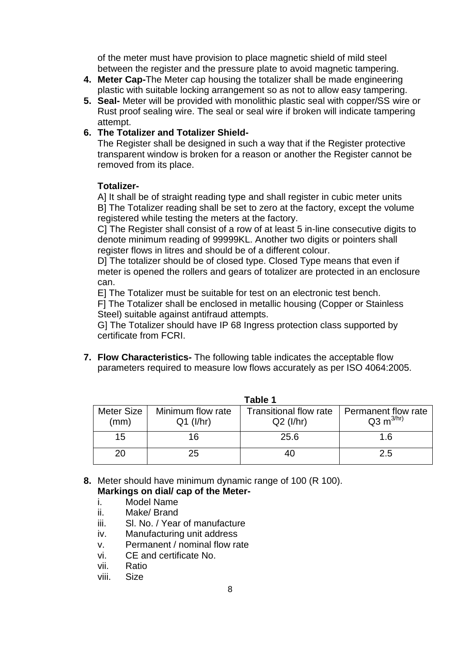of the meter must have provision to place magnetic shield of mild steel between the register and the pressure plate to avoid magnetic tampering.

- **4. Meter Cap-**The Meter cap housing the totalizer shall be made engineering plastic with suitable locking arrangement so as not to allow easy tampering.
- **5. Seal-** Meter will be provided with monolithic plastic seal with copper/SS wire or Rust proof sealing wire. The seal or seal wire if broken will indicate tampering attempt.
- **6. The Totalizer and Totalizer Shield-**

The Register shall be designed in such a way that if the Register protective transparent window is broken for a reason or another the Register cannot be removed from its place.

## **Totalizer-**

A] It shall be of straight reading type and shall register in cubic meter units B] The Totalizer reading shall be set to zero at the factory, except the volume registered while testing the meters at the factory.

C] The Register shall consist of a row of at least 5 in-line consecutive digits to denote minimum reading of 99999KL. Another two digits or pointers shall register flows in litres and should be of a different colour.

D] The totalizer should be of closed type. Closed Type means that even if meter is opened the rollers and gears of totalizer are protected in an enclosure can.

E] The Totalizer must be suitable for test on an electronic test bench.

F] The Totalizer shall be enclosed in metallic housing (Copper or Stainless Steel) suitable against antifraud attempts.

G] The Totalizer should have IP 68 Ingress protection class supported by certificate from FCRI.

**7. Flow Characteristics-** The following table indicates the acceptable flow parameters required to measure low flows accurately as per ISO 4064:2005.

| <b>Table 1</b> |                   |                               |                        |  |  |  |
|----------------|-------------------|-------------------------------|------------------------|--|--|--|
| Meter Size     | Minimum flow rate | <b>Transitional flow rate</b> | Permanent flow rate    |  |  |  |
| (mm)           | $Q1$ ( $I/hr$ )   | $Q2$ ( $I/hr$ )               | $Q3 \text{ m}^{3/hr)}$ |  |  |  |
| 15             | 16                | 25.6                          | 1.6                    |  |  |  |
| 20             | 25                |                               | 2.5                    |  |  |  |

- **8.** Meter should have minimum dynamic range of 100 (R 100). **Markings on dial/ cap of the Meter**
	- i. Model Name
	- ii. Make/ Brand
	- iii. Sl. No. / Year of manufacture
	- iv. Manufacturing unit address
	- v. Permanent / nominal flow rate
	- vi. CE and certificate No.
	- vii. Ratio
	- viii. Size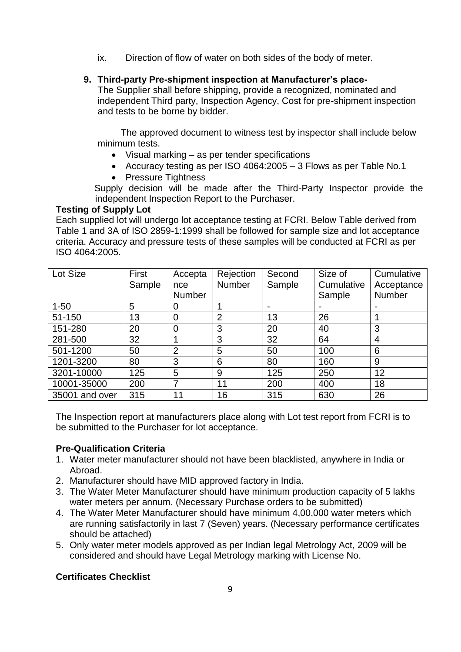ix. Direction of flow of water on both sides of the body of meter.

# **9. Third-party Pre-shipment inspection at Manufacturer's place-**

The Supplier shall before shipping, provide a recognized, nominated and independent Third party, Inspection Agency, Cost for pre-shipment inspection and tests to be borne by bidder.

 The approved document to witness test by inspector shall include below minimum tests.

- Visual marking as per tender specifications
- Accuracy testing as per ISO 4064:2005 3 Flows as per Table No.1
- Pressure Tightness

 Supply decision will be made after the Third-Party Inspector provide the independent Inspection Report to the Purchaser.

## **Testing of Supply Lot**

Each supplied lot will undergo lot acceptance testing at FCRI. Below Table derived from Table 1 and 3A of ISO 2859-1:1999 shall be followed for sample size and lot acceptance criteria. Accuracy and pressure tests of these samples will be conducted at FCRI as per ISO 4064:2005.

| Lot Size       | First  | Accepta        | Rejection      | Second | Size of    | Cumulative     |
|----------------|--------|----------------|----------------|--------|------------|----------------|
|                | Sample | nce            | Number         | Sample | Cumulative | Acceptance     |
|                |        | <b>Number</b>  |                |        | Sample     | Number         |
| $1 - 50$       | 5      | 0              |                |        |            |                |
| 51-150         | 13     | 0              | $\overline{2}$ | 13     | 26         |                |
| 151-280        | 20     | $\overline{0}$ | 3              | 20     | 40         | 3              |
| 281-500        | 32     |                | 3              | 32     | 64         | $\overline{4}$ |
| 501-1200       | 50     | $\overline{2}$ | 5              | 50     | 100        | 6              |
| 1201-3200      | 80     | 3              | 6              | 80     | 160        | 9              |
| 3201-10000     | 125    | 5              | 9              | 125    | 250        | 12             |
| 10001-35000    | 200    | ⇁              | 11             | 200    | 400        | 18             |
| 35001 and over | 315    | 11             | 16             | 315    | 630        | 26             |

The Inspection report at manufacturers place along with Lot test report from FCRI is to be submitted to the Purchaser for lot acceptance.

## **Pre-Qualification Criteria**

- 1. Water meter manufacturer should not have been blacklisted, anywhere in India or Abroad.
- 2. Manufacturer should have MID approved factory in India.
- 3. The Water Meter Manufacturer should have minimum production capacity of 5 lakhs water meters per annum. (Necessary Purchase orders to be submitted)
- 4. The Water Meter Manufacturer should have minimum 4,00,000 water meters which are running satisfactorily in last 7 (Seven) years. (Necessary performance certificates should be attached)
- 5. Only water meter models approved as per Indian legal Metrology Act, 2009 will be considered and should have Legal Metrology marking with License No.

## **Certificates Checklist**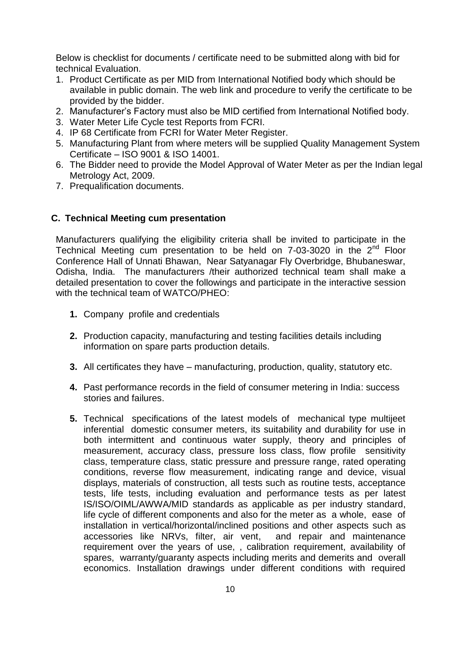Below is checklist for documents / certificate need to be submitted along with bid for technical Evaluation.

- 1. Product Certificate as per MID from International Notified body which should be available in public domain. The web link and procedure to verify the certificate to be provided by the bidder.
- 2. Manufacturer's Factory must also be MID certified from International Notified body.
- 3. Water Meter Life Cycle test Reports from FCRI.
- 4. IP 68 Certificate from FCRI for Water Meter Register.
- 5. Manufacturing Plant from where meters will be supplied Quality Management System Certificate – ISO 9001 & ISO 14001.
- 6. The Bidder need to provide the Model Approval of Water Meter as per the Indian legal Metrology Act, 2009.
- 7. Prequalification documents.

## **C. Technical Meeting cum presentation**

Manufacturers qualifying the eligibility criteria shall be invited to participate in the Technical Meeting cum presentation to be held on 7-03-3020 in the 2nd Floor Conference Hall of Unnati Bhawan, Near Satyanagar Fly Overbridge, Bhubaneswar, Odisha, India. The manufacturers /their authorized technical team shall make a detailed presentation to cover the followings and participate in the interactive session with the technical team of WATCO/PHEO:

- **1.** Company profile and credentials
- **2.** Production capacity, manufacturing and testing facilities details including information on spare parts production details.
- **3.** All certificates they have manufacturing, production, quality, statutory etc.
- **4.** Past performance records in the field of consumer metering in India: success stories and failures.
- **5.** Technical specifications of the latest models of mechanical type multijeet inferential domestic consumer meters, its suitability and durability for use in both intermittent and continuous water supply, theory and principles of measurement, accuracy class, pressure loss class, flow profile sensitivity class, temperature class, static pressure and pressure range, rated operating conditions, reverse flow measurement, indicating range and device, visual displays, materials of construction, all tests such as routine tests, acceptance tests, life tests, including evaluation and performance tests as per latest IS/ISO/OIML/AWWA/MID standards as applicable as per industry standard, life cycle of different components and also for the meter as a whole, ease of installation in vertical/horizontal/inclined positions and other aspects such as accessories like NRVs, filter, air vent, and repair and maintenance requirement over the years of use, , calibration requirement, availability of spares, warranty/guaranty aspects including merits and demerits and overall economics. Installation drawings under different conditions with required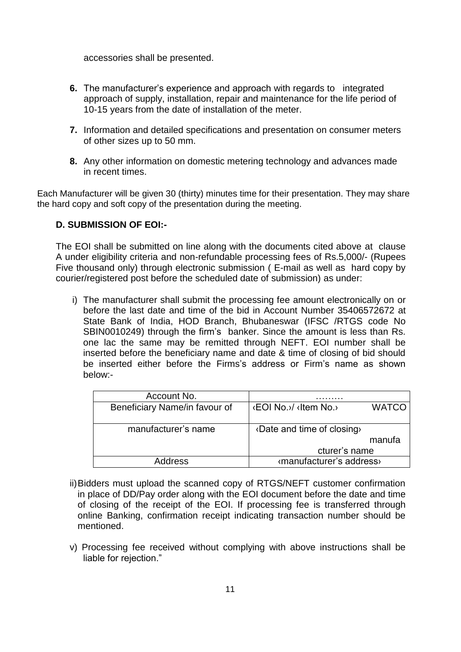accessories shall be presented.

- **6.** The manufacturer's experience and approach with regards to integrated approach of supply, installation, repair and maintenance for the life period of 10-15 years from the date of installation of the meter.
- **7.** Information and detailed specifications and presentation on consumer meters of other sizes up to 50 mm.
- **8.** Any other information on domestic metering technology and advances made in recent times.

Each Manufacturer will be given 30 (thirty) minutes time for their presentation. They may share the hard copy and soft copy of the presentation during the meeting.

## **D. SUBMISSION OF EOI:-**

The EOI shall be submitted on line along with the documents cited above at clause A under eligibility criteria and non-refundable processing fees of Rs.5,000/- (Rupees Five thousand only) through electronic submission ( E-mail as well as hard copy by courier/registered post before the scheduled date of submission) as under:

i) The manufacturer shall submit the processing fee amount electronically on or before the last date and time of the bid in Account Number 35406572672 at State Bank of India, HOD Branch, Bhubaneswar (IFSC /RTGS code No SBIN0010249) through the firm's banker. Since the amount is less than Rs. one lac the same may be remitted through NEFT. EOI number shall be inserted before the beneficiary name and date & time of closing of bid should be inserted either before the Firms's address or Firm's name as shown below:-

| Account No.                   |                                         |  |  |
|-------------------------------|-----------------------------------------|--|--|
| Beneficiary Name/in favour of | <b>WATCO</b><br>l ‹EOI No.›/ ‹Item No.› |  |  |
|                               |                                         |  |  |
| manufacturer's name           | «Date and time of closing»              |  |  |
|                               | manufa                                  |  |  |
|                               | cturer's name                           |  |  |
| <b>Address</b>                | «manufacturer's address»                |  |  |

- ii)Bidders must upload the scanned copy of RTGS/NEFT customer confirmation in place of DD/Pay order along with the EOI document before the date and time of closing of the receipt of the EOI. If processing fee is transferred through online Banking, confirmation receipt indicating transaction number should be mentioned.
- v) Processing fee received without complying with above instructions shall be liable for rejection."